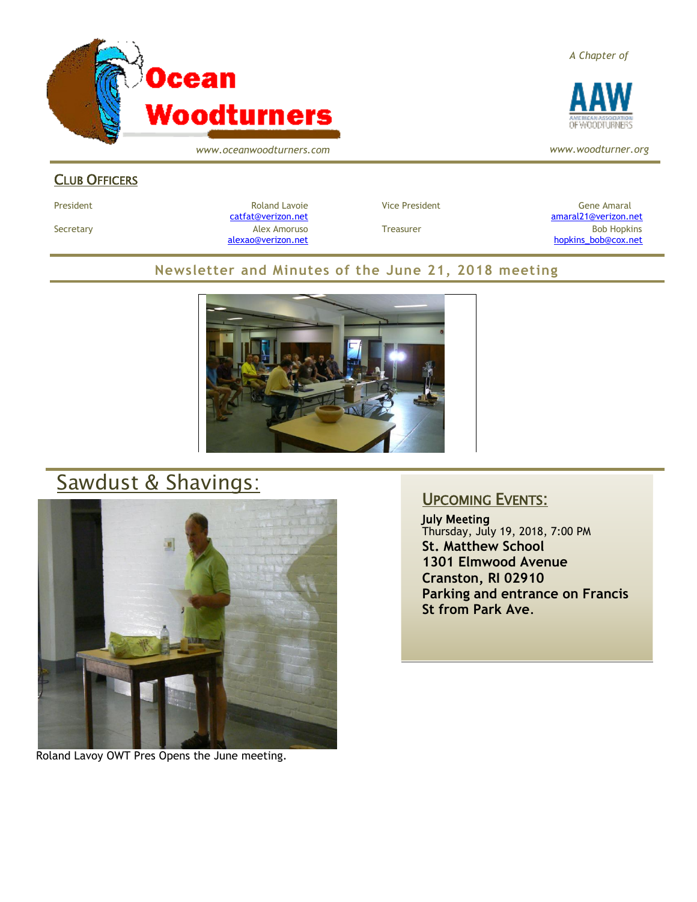

*www.oceanwoodturners.com*

#### CLUB OFFICERS

President Chronical Communication Chronical Roland Lavoie Chronic Vice President Chronic Chronic Gene Amaral [catfat@verizon.net](file:///C:/Users/OTEC/Desktop/OW/catfat@verizon.net) [amaral21@verizon.net](mailto:amaral21@verizon.net) Secretary Alex Amoruso Treasurer Bob Hopkins [alexao@verizon.net](mailto:alexao@verizon.net) [hopkins\\_bob@cox.net](mailto:hopkins_bob@cox.net)

#### **Newsletter and Minutes of the June 21, 2018 meeting**



# Sawdust & Shavings:



Roland Lavoy OWT Pres Opens the June meeting.

### UPCOMING EVENTS:

July Meeting Thursday, July 19, 2018, 7:00 PM **St. Matthew School 1301 Elmwood Avenue Cranston, RI 02910 Parking and entrance on Francis St from Park Ave**.





*www.woodturner.org*